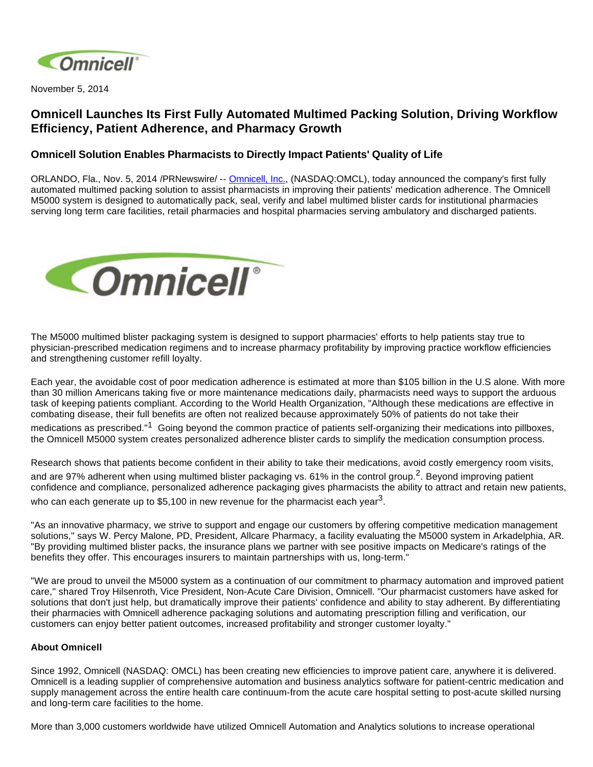

November 5, 2014

## **Omnicell Launches Its First Fully Automated Multimed Packing Solution, Driving Workflow Efficiency, Patient Adherence, and Pharmacy Growth**

## **Omnicell Solution Enables Pharmacists to Directly Impact Patients' Quality of Life**

ORLANDO, Fla., Nov. 5, 2014 /PRNewswire/ -- [Omnicell, Inc.,](http://www.omnicell.com/) (NASDAQ:OMCL), today announced the company's first fully automated multimed packing solution to assist pharmacists in improving their patients' medication adherence. The Omnicell M5000 system is designed to automatically pack, seal, verify and label multimed blister cards for institutional pharmacies serving long term care facilities, retail pharmacies and hospital pharmacies serving ambulatory and discharged patients.



The M5000 multimed blister packaging system is designed to support pharmacies' efforts to help patients stay true to physician-prescribed medication regimens and to increase pharmacy profitability by improving practice workflow efficiencies and strengthening customer refill loyalty.

Each year, the avoidable cost of poor medication adherence is estimated at more than \$105 billion in the U.S alone. With more than 30 million Americans taking five or more maintenance medications daily, pharmacists need ways to support the arduous task of keeping patients compliant. According to the World Health Organization, "Although these medications are effective in combating disease, their full benefits are often not realized because approximately 50% of patients do not take their medications as prescribed."<sup>1</sup> Going beyond the common practice of patients self-organizing their medications into pillboxes, the Omnicell M5000 system creates personalized adherence blister cards to simplify the medication consumption process.

Research shows that patients become confident in their ability to take their medications, avoid costly emergency room visits,

and are 97% adherent when using multimed blister packaging vs. 61% in the control group.<sup>2</sup>. Beyond improving patient confidence and compliance, personalized adherence packaging gives pharmacists the ability to attract and retain new patients, who can each generate up to \$5,100 in new revenue for the pharmacist each year<sup>3</sup>.

"As an innovative pharmacy, we strive to support and engage our customers by offering competitive medication management solutions," says W. Percy Malone, PD, President, Allcare Pharmacy, a facility evaluating the M5000 system in Arkadelphia, AR. "By providing multimed blister packs, the insurance plans we partner with see positive impacts on Medicare's ratings of the benefits they offer. This encourages insurers to maintain partnerships with us, long-term."

"We are proud to unveil the M5000 system as a continuation of our commitment to pharmacy automation and improved patient care," shared Troy Hilsenroth, Vice President, Non-Acute Care Division, Omnicell. "Our pharmacist customers have asked for solutions that don't just help, but dramatically improve their patients' confidence and ability to stay adherent. By differentiating their pharmacies with Omnicell adherence packaging solutions and automating prescription filling and verification, our customers can enjoy better patient outcomes, increased profitability and stronger customer loyalty."

## **About Omnicell**

Since 1992, Omnicell (NASDAQ: OMCL) has been creating new efficiencies to improve patient care, anywhere it is delivered. Omnicell is a leading supplier of comprehensive automation and business analytics software for patient-centric medication and supply management across the entire health care continuum-from the acute care hospital setting to post-acute skilled nursing and long-term care facilities to the home.

More than 3,000 customers worldwide have utilized Omnicell Automation and Analytics solutions to increase operational